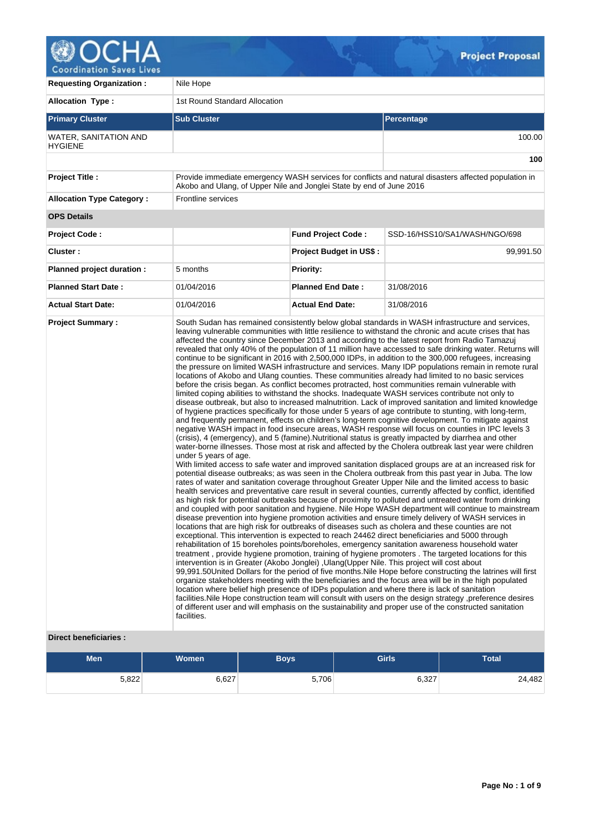

| <b>Requesting Organization:</b>                | Nile Hope                                                            |                                |                                                                                                                                                                                                                                                                                                                                                                                                                                                                                                                                                                                                                                                                                                                                                                                                                                                                                                                                                                                                                                                                                                                                                                                                                                                                                                                                                                                                                                                                                                                                                                                                                                                                                                                                                                                                                                                                                                                                                                                                                                                                                                                                                                                                                                                                                                                                                                                                                                                                                                                                                                                                                                                                                                                                                                                                                                                                                                                                                                                                                                                                                                                                                                                                                                                                                                                                                                                                                                                               |  |  |  |  |  |
|------------------------------------------------|----------------------------------------------------------------------|--------------------------------|---------------------------------------------------------------------------------------------------------------------------------------------------------------------------------------------------------------------------------------------------------------------------------------------------------------------------------------------------------------------------------------------------------------------------------------------------------------------------------------------------------------------------------------------------------------------------------------------------------------------------------------------------------------------------------------------------------------------------------------------------------------------------------------------------------------------------------------------------------------------------------------------------------------------------------------------------------------------------------------------------------------------------------------------------------------------------------------------------------------------------------------------------------------------------------------------------------------------------------------------------------------------------------------------------------------------------------------------------------------------------------------------------------------------------------------------------------------------------------------------------------------------------------------------------------------------------------------------------------------------------------------------------------------------------------------------------------------------------------------------------------------------------------------------------------------------------------------------------------------------------------------------------------------------------------------------------------------------------------------------------------------------------------------------------------------------------------------------------------------------------------------------------------------------------------------------------------------------------------------------------------------------------------------------------------------------------------------------------------------------------------------------------------------------------------------------------------------------------------------------------------------------------------------------------------------------------------------------------------------------------------------------------------------------------------------------------------------------------------------------------------------------------------------------------------------------------------------------------------------------------------------------------------------------------------------------------------------------------------------------------------------------------------------------------------------------------------------------------------------------------------------------------------------------------------------------------------------------------------------------------------------------------------------------------------------------------------------------------------------------------------------------------------------------------------------------------------------|--|--|--|--|--|
| <b>Allocation Type:</b>                        | 1st Round Standard Allocation                                        |                                |                                                                                                                                                                                                                                                                                                                                                                                                                                                                                                                                                                                                                                                                                                                                                                                                                                                                                                                                                                                                                                                                                                                                                                                                                                                                                                                                                                                                                                                                                                                                                                                                                                                                                                                                                                                                                                                                                                                                                                                                                                                                                                                                                                                                                                                                                                                                                                                                                                                                                                                                                                                                                                                                                                                                                                                                                                                                                                                                                                                                                                                                                                                                                                                                                                                                                                                                                                                                                                                               |  |  |  |  |  |
| <b>Primary Cluster</b>                         | <b>Sub Cluster</b>                                                   |                                | <b>Percentage</b>                                                                                                                                                                                                                                                                                                                                                                                                                                                                                                                                                                                                                                                                                                                                                                                                                                                                                                                                                                                                                                                                                                                                                                                                                                                                                                                                                                                                                                                                                                                                                                                                                                                                                                                                                                                                                                                                                                                                                                                                                                                                                                                                                                                                                                                                                                                                                                                                                                                                                                                                                                                                                                                                                                                                                                                                                                                                                                                                                                                                                                                                                                                                                                                                                                                                                                                                                                                                                                             |  |  |  |  |  |
| <b>WATER, SANITATION AND</b><br><b>HYGIENE</b> |                                                                      |                                | 100.00                                                                                                                                                                                                                                                                                                                                                                                                                                                                                                                                                                                                                                                                                                                                                                                                                                                                                                                                                                                                                                                                                                                                                                                                                                                                                                                                                                                                                                                                                                                                                                                                                                                                                                                                                                                                                                                                                                                                                                                                                                                                                                                                                                                                                                                                                                                                                                                                                                                                                                                                                                                                                                                                                                                                                                                                                                                                                                                                                                                                                                                                                                                                                                                                                                                                                                                                                                                                                                                        |  |  |  |  |  |
|                                                |                                                                      |                                | 100                                                                                                                                                                                                                                                                                                                                                                                                                                                                                                                                                                                                                                                                                                                                                                                                                                                                                                                                                                                                                                                                                                                                                                                                                                                                                                                                                                                                                                                                                                                                                                                                                                                                                                                                                                                                                                                                                                                                                                                                                                                                                                                                                                                                                                                                                                                                                                                                                                                                                                                                                                                                                                                                                                                                                                                                                                                                                                                                                                                                                                                                                                                                                                                                                                                                                                                                                                                                                                                           |  |  |  |  |  |
| <b>Project Title:</b>                          | Akobo and Ulang, of Upper Nile and Jonglei State by end of June 2016 |                                | Provide immediate emergency WASH services for conflicts and natural disasters affected population in                                                                                                                                                                                                                                                                                                                                                                                                                                                                                                                                                                                                                                                                                                                                                                                                                                                                                                                                                                                                                                                                                                                                                                                                                                                                                                                                                                                                                                                                                                                                                                                                                                                                                                                                                                                                                                                                                                                                                                                                                                                                                                                                                                                                                                                                                                                                                                                                                                                                                                                                                                                                                                                                                                                                                                                                                                                                                                                                                                                                                                                                                                                                                                                                                                                                                                                                                          |  |  |  |  |  |
| <b>Allocation Type Category:</b>               | <b>Frontline services</b>                                            |                                |                                                                                                                                                                                                                                                                                                                                                                                                                                                                                                                                                                                                                                                                                                                                                                                                                                                                                                                                                                                                                                                                                                                                                                                                                                                                                                                                                                                                                                                                                                                                                                                                                                                                                                                                                                                                                                                                                                                                                                                                                                                                                                                                                                                                                                                                                                                                                                                                                                                                                                                                                                                                                                                                                                                                                                                                                                                                                                                                                                                                                                                                                                                                                                                                                                                                                                                                                                                                                                                               |  |  |  |  |  |
| <b>OPS Details</b>                             |                                                                      |                                |                                                                                                                                                                                                                                                                                                                                                                                                                                                                                                                                                                                                                                                                                                                                                                                                                                                                                                                                                                                                                                                                                                                                                                                                                                                                                                                                                                                                                                                                                                                                                                                                                                                                                                                                                                                                                                                                                                                                                                                                                                                                                                                                                                                                                                                                                                                                                                                                                                                                                                                                                                                                                                                                                                                                                                                                                                                                                                                                                                                                                                                                                                                                                                                                                                                                                                                                                                                                                                                               |  |  |  |  |  |
| <b>Project Code:</b>                           |                                                                      | <b>Fund Project Code:</b>      | SSD-16/HSS10/SA1/WASH/NGO/698                                                                                                                                                                                                                                                                                                                                                                                                                                                                                                                                                                                                                                                                                                                                                                                                                                                                                                                                                                                                                                                                                                                                                                                                                                                                                                                                                                                                                                                                                                                                                                                                                                                                                                                                                                                                                                                                                                                                                                                                                                                                                                                                                                                                                                                                                                                                                                                                                                                                                                                                                                                                                                                                                                                                                                                                                                                                                                                                                                                                                                                                                                                                                                                                                                                                                                                                                                                                                                 |  |  |  |  |  |
| Cluster:                                       |                                                                      | <b>Project Budget in US\$:</b> | 99,991.50                                                                                                                                                                                                                                                                                                                                                                                                                                                                                                                                                                                                                                                                                                                                                                                                                                                                                                                                                                                                                                                                                                                                                                                                                                                                                                                                                                                                                                                                                                                                                                                                                                                                                                                                                                                                                                                                                                                                                                                                                                                                                                                                                                                                                                                                                                                                                                                                                                                                                                                                                                                                                                                                                                                                                                                                                                                                                                                                                                                                                                                                                                                                                                                                                                                                                                                                                                                                                                                     |  |  |  |  |  |
| Planned project duration :                     | 5 months                                                             | <b>Priority:</b>               |                                                                                                                                                                                                                                                                                                                                                                                                                                                                                                                                                                                                                                                                                                                                                                                                                                                                                                                                                                                                                                                                                                                                                                                                                                                                                                                                                                                                                                                                                                                                                                                                                                                                                                                                                                                                                                                                                                                                                                                                                                                                                                                                                                                                                                                                                                                                                                                                                                                                                                                                                                                                                                                                                                                                                                                                                                                                                                                                                                                                                                                                                                                                                                                                                                                                                                                                                                                                                                                               |  |  |  |  |  |
| <b>Planned Start Date:</b>                     | 01/04/2016                                                           | <b>Planned End Date:</b>       | 31/08/2016                                                                                                                                                                                                                                                                                                                                                                                                                                                                                                                                                                                                                                                                                                                                                                                                                                                                                                                                                                                                                                                                                                                                                                                                                                                                                                                                                                                                                                                                                                                                                                                                                                                                                                                                                                                                                                                                                                                                                                                                                                                                                                                                                                                                                                                                                                                                                                                                                                                                                                                                                                                                                                                                                                                                                                                                                                                                                                                                                                                                                                                                                                                                                                                                                                                                                                                                                                                                                                                    |  |  |  |  |  |
| <b>Actual Start Date:</b>                      | 01/04/2016                                                           | <b>Actual End Date:</b>        | 31/08/2016                                                                                                                                                                                                                                                                                                                                                                                                                                                                                                                                                                                                                                                                                                                                                                                                                                                                                                                                                                                                                                                                                                                                                                                                                                                                                                                                                                                                                                                                                                                                                                                                                                                                                                                                                                                                                                                                                                                                                                                                                                                                                                                                                                                                                                                                                                                                                                                                                                                                                                                                                                                                                                                                                                                                                                                                                                                                                                                                                                                                                                                                                                                                                                                                                                                                                                                                                                                                                                                    |  |  |  |  |  |
| <b>Project Summary:</b>                        | under 5 years of age.<br>facilities.                                 |                                | South Sudan has remained consistently below global standards in WASH infrastructure and services,<br>leaving vulnerable communities with little resilience to withstand the chronic and acute crises that has<br>affected the country since December 2013 and according to the latest report from Radio Tamazuj<br>revealed that only 40% of the population of 11 million have accessed to safe drinking water. Returns will<br>continue to be significant in 2016 with 2,500,000 IDPs, in addition to the 300,000 refugees, increasing<br>the pressure on limited WASH infrastructure and services. Many IDP populations remain in remote rural<br>locations of Akobo and Ulang counties. These communities already had limited to no basic services<br>before the crisis began. As conflict becomes protracted, host communities remain vulnerable with<br>limited coping abilities to withstand the shocks. Inadequate WASH services contribute not only to<br>disease outbreak, but also to increased malnutrition. Lack of improved sanitation and limited knowledge<br>of hygiene practices specifically for those under 5 years of age contribute to stunting, with long-term,<br>and frequently permanent, effects on children's long-term cognitive development. To mitigate against<br>negative WASH impact in food insecure areas, WASH response will focus on counties in IPC levels 3<br>(crisis), 4 (emergency), and 5 (famine). Nutritional status is greatly impacted by diarrhea and other<br>water-borne illnesses. Those most at risk and affected by the Cholera outbreak last year were children<br>With limited access to safe water and improved sanitation displaced groups are at an increased risk for<br>potential disease outbreaks; as was seen in the Cholera outbreak from this past year in Juba. The low<br>rates of water and sanitation coverage throughout Greater Upper Nile and the limited access to basic<br>health services and preventative care result in several counties, currently affected by conflict, identified<br>as high risk for potential outbreaks because of proximity to polluted and untreated water from drinking<br>and coupled with poor sanitation and hygiene. Nile Hope WASH department will continue to mainstream<br>disease prevention into hygiene promotion activities and ensure timely delivery of WASH services in<br>locations that are high risk for outbreaks of diseases such as cholera and these counties are not<br>exceptional. This intervention is expected to reach 24462 direct beneficiaries and 5000 through<br>rehabilitation of 15 boreholes points/boreholes, emergency sanitation awareness household water<br>treatment, provide hygiene promotion, training of hygiene promoters. The targeted locations for this<br>intervention is in Greater (Akobo Jonglei), Ulang (Upper Nile. This project will cost about<br>99,991.50United Dollars for the period of five months. Nile Hope before constructing the latrines will first<br>organize stakeholders meeting with the beneficiaries and the focus area will be in the high populated<br>location where belief high presence of IDPs population and where there is lack of sanitation<br>facilities. Nile Hope construction team will consult with users on the design strategy, preference desires<br>of different user and will emphasis on the sustainability and proper use of the constructed sanitation |  |  |  |  |  |

# **Direct beneficiaries :**

| <b>Women</b><br><b>Men</b> |       | <b>Boys</b> | <b>Girls</b> | <b>Total</b> |  |  |
|----------------------------|-------|-------------|--------------|--------------|--|--|
| 5,822                      | 6,627 | 5,706       | 6,327        | 24,482       |  |  |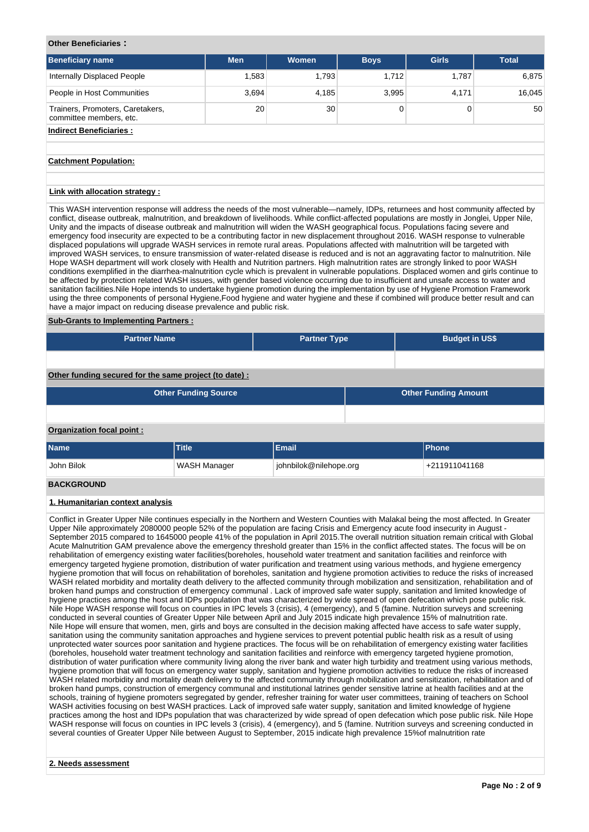### **Other Beneficiaries :**

| <b>Beneficiary name</b>                                     | <b>Men</b> | <b>Women</b> | <b>Boys</b> | <b>Girls</b> | <b>Total</b> |
|-------------------------------------------------------------|------------|--------------|-------------|--------------|--------------|
| Internally Displaced People                                 | .583       | 1.793        | 1.712       | 1.787        | 6,875        |
| People in Host Communities                                  | 3,694      | 4,185        | 3.995       | 4,171        | 16.045       |
| Trainers, Promoters, Caretakers,<br>committee members, etc. | 20         | 30           |             |              | 50           |
| ladisaat Danafialasiaa :                                    |            |              |             |              |              |

#### **Indirect Beneficiaries :**

### **Catchment Population:**

#### **Link with allocation strategy :**

This WASH intervention response will address the needs of the most vulnerable—namely, IDPs, returnees and host community affected by conflict, disease outbreak, malnutrition, and breakdown of livelihoods. While conflict-affected populations are mostly in Jonglei, Upper Nile, Unity and the impacts of disease outbreak and malnutrition will widen the WASH geographical focus. Populations facing severe and emergency food insecurity are expected to be a contributing factor in new displacement throughout 2016. WASH response to vulnerable displaced populations will upgrade WASH services in remote rural areas. Populations affected with malnutrition will be targeted with improved WASH services, to ensure transmission of water-related disease is reduced and is not an aggravating factor to malnutrition. Nile Hope WASH department will work closely with Health and Nutrition partners. High malnutrition rates are strongly linked to poor WASH conditions exemplified in the diarrhea-malnutrition cycle which is prevalent in vulnerable populations. Displaced women and girls continue to be affected by protection related WASH issues, with gender based violence occurring due to insufficient and unsafe access to water and sanitation facilities.Nile Hope intends to undertake hygiene promotion during the implementation by use of Hygiene Promotion Framework using the three components of personal Hygiene,Food hygiene and water hygiene and these if combined will produce better result and can have a major impact on reducing disease prevalence and public risk.

### **Sub-Grants to Implementing Partners :**

| <b>Partner Name</b> | <b>Partner Type</b> | <b>Budget in US\$</b> |
|---------------------|---------------------|-----------------------|
|                     |                     |                       |

# **Other funding secured for the same project (to date) :**

| <b>Other Funding Source</b> |              |              | <b>Other Funding Amount</b> |
|-----------------------------|--------------|--------------|-----------------------------|
|                             |              |              |                             |
| Organization focal point:   |              |              |                             |
| <b>Name</b>                 | <b>Title</b> | <b>Email</b> | <b>Phone</b>                |

| John Bilok                | WASH Manager | johnbilok@nilehope.org | +211911041168 |
|---------------------------|--------------|------------------------|---------------|
| _ _ _ _ _ _ _ _ _ _ _ _ _ |              |                        |               |

#### **BACKGROUND**

## **1. Humanitarian context analysis**

Conflict in Greater Upper Nile continues especially in the Northern and Western Counties with Malakal being the most affected. In Greater Upper Nile approximately 2080000 people 52% of the population are facing Crisis and Emergency acute food insecurity in August - September 2015 compared to 1645000 people 41% of the population in April 2015.The overall nutrition situation remain critical with Global Acute Malnutrition GAM prevalence above the emergency threshold greater than 15% in the conflict affected states. The focus will be on rehabilitation of emergency existing water facilities(boreholes, household water treatment and sanitation facilities and reinforce with emergency targeted hygiene promotion, distribution of water purification and treatment using various methods, and hygiene emergency hygiene promotion that will focus on rehabilitation of boreholes, sanitation and hygiene promotion activities to reduce the risks of increased WASH related morbidity and mortality death delivery to the affected community through mobilization and sensitization, rehabilitation and of broken hand pumps and construction of emergency communal . Lack of improved safe water supply, sanitation and limited knowledge of hygiene practices among the host and IDPs population that was characterized by wide spread of open defecation which pose public risk. Nile Hope WASH response will focus on counties in IPC levels 3 (crisis), 4 (emergency), and 5 (famine. Nutrition surveys and screening conducted in several counties of Greater Upper Nile between April and July 2015 indicate high prevalence 15% of malnutrition rate. Nile Hope will ensure that women, men, girls and boys are consulted in the decision making affected have access to safe water supply, sanitation using the community sanitation approaches and hygiene services to prevent potential public health risk as a result of using unprotected water sources poor sanitation and hygiene practices. The focus will be on rehabilitation of emergency existing water facilities (boreholes, household water treatment technology and sanitation facilities and reinforce with emergency targeted hygiene promotion, distribution of water purification where community living along the river bank and water high turbidity and treatment using various methods, hygiene promotion that will focus on emergency water supply, sanitation and hygiene promotion activities to reduce the risks of increased WASH related morbidity and mortality death delivery to the affected community through mobilization and sensitization, rehabilitation and of broken hand pumps, construction of emergency communal and institutional latrines gender sensitive latrine at health facilities and at the schools, training of hygiene promoters segregated by gender, refresher training for water user committees, training of teachers on School WASH activities focusing on best WASH practices. Lack of improved safe water supply, sanitation and limited knowledge of hygiene practices among the host and IDPs population that was characterized by wide spread of open defecation which pose public risk. Nile Hope WASH response will focus on counties in IPC levels 3 (crisis), 4 (emergency), and 5 (famine. Nutrition surveys and screening conducted in several counties of Greater Upper Nile between August to September, 2015 indicate high prevalence 15%of malnutrition rate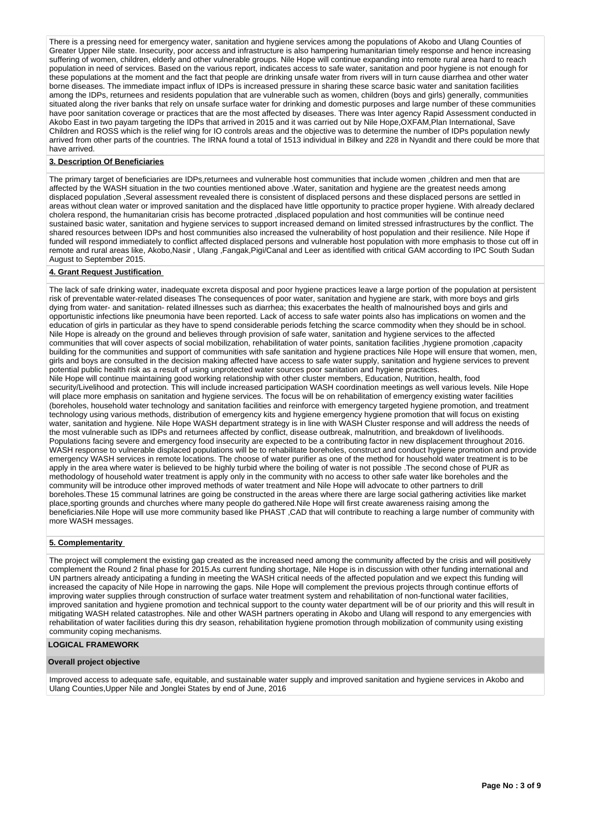There is a pressing need for emergency water, sanitation and hygiene services among the populations of Akobo and Ulang Counties of Greater Upper Nile state. Insecurity, poor access and infrastructure is also hampering humanitarian timely response and hence increasing suffering of women, children, elderly and other vulnerable groups. Nile Hope will continue expanding into remote rural area hard to reach population in need of services. Based on the various report, indicates access to safe water, sanitation and poor hygiene is not enough for these populations at the moment and the fact that people are drinking unsafe water from rivers will in turn cause diarrhea and other water borne diseases. The immediate impact influx of IDPs is increased pressure in sharing these scarce basic water and sanitation facilities among the IDPs, returnees and residents population that are vulnerable such as women, children (boys and girls) generally, communities situated along the river banks that rely on unsafe surface water for drinking and domestic purposes and large number of these communities have poor sanitation coverage or practices that are the most affected by diseases. There was Inter agency Rapid Assessment conducted in Akobo East in two payam targeting the IDPs that arrived in 2015 and it was carried out by Nile Hope,OXFAM,Plan International, Save Children and ROSS which is the relief wing for IO controls areas and the objective was to determine the number of IDPs population newly arrived from other parts of the countries. The IRNA found a total of 1513 individual in Bilkey and 228 in Nyandit and there could be more that have arrived.

# **3. Description Of Beneficiaries**

The primary target of beneficiaries are IDPs,returnees and vulnerable host communities that include women ,children and men that are affected by the WASH situation in the two counties mentioned above .Water, sanitation and hygiene are the greatest needs among displaced population ,Several assessment revealed there is consistent of displaced persons and these displaced persons are settled in areas without clean water or improved sanitation and the displaced have little opportunity to practice proper hygiene. With already declared cholera respond, the humanitarian crisis has become protracted ,displaced population and host communities will be continue need sustained basic water, sanitation and hygiene services to support increased demand on limited stressed infrastructures by the conflict. The shared resources between IDPs and host communities also increased the vulnerability of host population and their resilience. Nile Hope if funded will respond immediately to conflict affected displaced persons and vulnerable host population with more emphasis to those cut off in remote and rural areas like, Akobo,Nasir , Ulang ,Fangak,Pigi/Canal and Leer as identified with critical GAM according to IPC South Sudan August to September 2015.

### **4. Grant Request Justification**

The lack of safe drinking water, inadequate excreta disposal and poor hygiene practices leave a large portion of the population at persistent risk of preventable water-related diseases The consequences of poor water, sanitation and hygiene are stark, with more boys and girls dying from water- and sanitation- related illnesses such as diarrhea; this exacerbates the health of malnourished boys and girls and opportunistic infections like pneumonia have been reported. Lack of access to safe water points also has implications on women and the education of girls in particular as they have to spend considerable periods fetching the scarce commodity when they should be in school. Nile Hope is already on the ground and believes through provision of safe water, sanitation and hygiene services to the affected communities that will cover aspects of social mobilization, rehabilitation of water points, sanitation facilities ,hygiene promotion ,capacity building for the communities and support of communities with safe sanitation and hygiene practices Nile Hope will ensure that women, men, girls and boys are consulted in the decision making affected have access to safe water supply, sanitation and hygiene services to prevent potential public health risk as a result of using unprotected water sources poor sanitation and hygiene practices. Nile Hope will continue maintaining good working relationship with other cluster members, Education, Nutrition, health, food security/Livelihood and protection. This will include increased participation WASH coordination meetings as well various levels. Nile Hope will place more emphasis on sanitation and hygiene services. The focus will be on rehabilitation of emergency existing water facilities (boreholes, household water technology and sanitation facilities and reinforce with emergency targeted hygiene promotion, and treatment technology using various methods, distribution of emergency kits and hygiene emergency hygiene promotion that will focus on existing water, sanitation and hygiene. Nile Hope WASH department strategy is in line with WASH Cluster response and will address the needs of the most vulnerable such as IDPs and returnees affected by conflict, disease outbreak, malnutrition, and breakdown of livelihoods. Populations facing severe and emergency food insecurity are expected to be a contributing factor in new displacement throughout 2016. WASH response to vulnerable displaced populations will be to rehabilitate boreholes, construct and conduct hygiene promotion and provide emergency WASH services in remote locations. The choose of water purifier as one of the method for household water treatment is to be apply in the area where water is believed to be highly turbid where the boiling of water is not possible .The second chose of PUR as methodology of household water treatment is apply only in the community with no access to other safe water like boreholes and the community will be introduce other improved methods of water treatment and Nile Hope will advocate to other partners to drill boreholes.These 15 communal latrines are going be constructed in the areas where there are large social gathering activities like market place,sporting grounds and churches where many people do gathered.Nile Hope will first create awareness raising among the beneficiaries.Nile Hope will use more community based like PHAST ,CAD that will contribute to reaching a large number of community with more WASH messages.

### **5. Complementarity**

The project will complement the existing gap created as the increased need among the community affected by the crisis and will positively complement the Round 2 final phase for 2015.As current funding shortage, Nile Hope is in discussion with other funding international and UN partners already anticipating a funding in meeting the WASH critical needs of the affected population and we expect this funding will increased the capacity of Nile Hope in narrowing the gaps. Nile Hope will complement the previous projects through continue efforts of improving water supplies through construction of surface water treatment system and rehabilitation of non-functional water facilities, improved sanitation and hygiene promotion and technical support to the county water department will be of our priority and this will result in mitigating WASH related catastrophes. Nile and other WASH partners operating in Akobo and Ulang will respond to any emergencies with rehabilitation of water facilities during this dry season, rehabilitation hygiene promotion through mobilization of community using existing community coping mechanisms.

# **LOGICAL FRAMEWORK**

### **Overall project objective**

Improved access to adequate safe, equitable, and sustainable water supply and improved sanitation and hygiene services in Akobo and Ulang Counties,Upper Nile and Jonglei States by end of June, 2016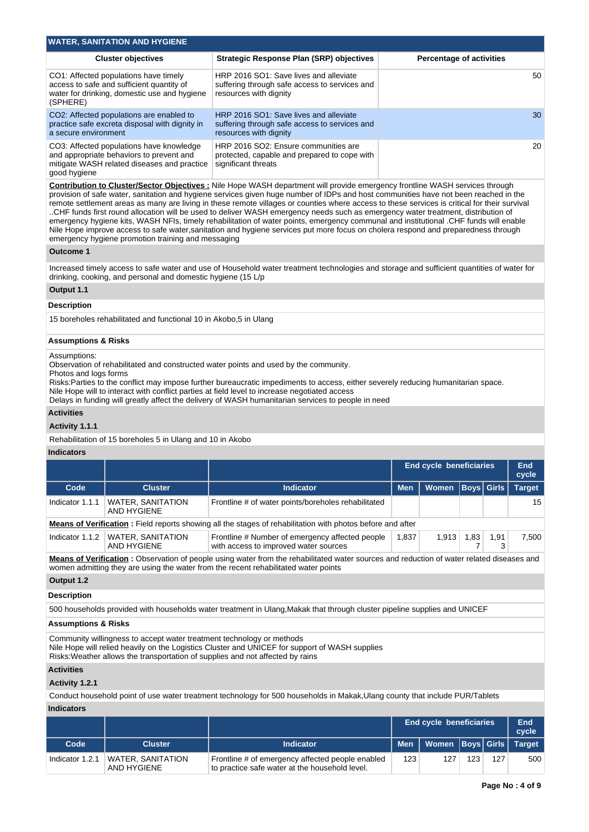| <b>WATER, SANITATION AND HYGIENE</b>                                                                                                                |                                                                                                                   |                                 |  |  |  |  |  |  |
|-----------------------------------------------------------------------------------------------------------------------------------------------------|-------------------------------------------------------------------------------------------------------------------|---------------------------------|--|--|--|--|--|--|
| <b>Cluster objectives</b>                                                                                                                           | <b>Strategic Response Plan (SRP) objectives</b>                                                                   | <b>Percentage of activities</b> |  |  |  |  |  |  |
| CO1: Affected populations have timely<br>access to safe and sufficient quantity of<br>water for drinking, domestic use and hygiene<br>(SPHERE)      | HRP 2016 SO1: Save lives and alleviate<br>suffering through safe access to services and<br>resources with dignity | 50                              |  |  |  |  |  |  |
| CO2: Affected populations are enabled to<br>practice safe excreta disposal with dignity in<br>a secure environment                                  | HRP 2016 SO1: Save lives and alleviate<br>suffering through safe access to services and<br>resources with dignity | 30                              |  |  |  |  |  |  |
| CO3: Affected populations have knowledge<br>and appropriate behaviors to prevent and<br>mitigate WASH related diseases and practice<br>good hygiene | HRP 2016 SO2: Ensure communities are<br>protected, capable and prepared to cope with<br>significant threats       | 20                              |  |  |  |  |  |  |

**Contribution to Cluster/Sector Objectives :** Nile Hope WASH department will provide emergency frontline WASH services through provision of safe water, sanitation and hygiene services given huge number of IDPs and host communities have not been reached in the remote settlement areas as many are living in these remote villages or counties where access to these services is critical for their survival ..CHF funds first round allocation will be used to deliver WASH emergency needs such as emergency water treatment, distribution of emergency hygiene kits, WASH NFIs, timely rehabilitation of water points, emergency communal and institutional .CHF funds will enable Nile Hope improve access to safe water,sanitation and hygiene services put more focus on cholera respond and preparedness through emergency hygiene promotion training and messaging

### **Outcome 1**

Increased timely access to safe water and use of Household water treatment technologies and storage and sufficient quantities of water for drinking, cooking, and personal and domestic hygiene (15 L/p

# **Output 1.1**

### **Description**

15 boreholes rehabilitated and functional 10 in Akobo,5 in Ulang

### **Assumptions & Risks**

Assumptions:

Observation of rehabilitated and constructed water points and used by the community.

Photos and logs forms

Risks:Parties to the conflict may impose further bureaucratic impediments to access, either severely reducing humanitarian space.

Nile Hope will to interact with conflict parties at field level to increase negotiated access Delays in funding will greatly affect the delivery of WASH humanitarian services to people in need

### **Activities**

### **Activity 1.1.1**

Rehabilitation of 15 boreholes 5 in Ulang and 10 in Akobo

### **Indicators**

|                                                                                                                                           |                                         |                                                                                          | <b>End cycle beneficiaries</b> |       |      | End<br>cycle |                 |  |
|-------------------------------------------------------------------------------------------------------------------------------------------|-----------------------------------------|------------------------------------------------------------------------------------------|--------------------------------|-------|------|--------------|-----------------|--|
| Code                                                                                                                                      | <b>Cluster</b>                          | <b>Indicator</b>                                                                         | <b>Men</b>                     | Women |      | Boys  Girls  | <b>Target</b>   |  |
| Indicator 1.1.1                                                                                                                           | <b>WATER, SANITATION</b><br>AND HYGIENE | Frontline # of water points/boreholes rehabilitated                                      |                                |       |      |              | 15 <sup>1</sup> |  |
| <b>Means of Verification:</b> Field reports showing all the stages of rehabilitation with photos before and after                         |                                         |                                                                                          |                                |       |      |              |                 |  |
| Indicator 1.1.2                                                                                                                           | <b>WATER, SANITATION</b><br>AND HYGIENE | Frontline # Number of emergency affected people<br>with access to improved water sources | 1,837                          | 1,913 | 1,83 | 1,91         | 7,500           |  |
| Means of Verification: Observation of people using water from the rehabilitated water sources and reduction of water related diseases and |                                         |                                                                                          |                                |       |      |              |                 |  |

women admitting they are using the water from the recent rehabilitated water points

# **Output 1.2**

**Description**

500 households provided with households water treatment in Ulang,Makak that through cluster pipeline supplies and UNICEF

## **Assumptions & Risks**

Community willingness to accept water treatment technology or methods Nile Hope will relied heavily on the Logistics Cluster and UNICEF for support of WASH supplies

Risks:Weather allows the transportation of supplies and not affected by rains

# **Activities**

# **Activity 1.2.1**

Conduct household point of use water treatment technology for 500 households in Makak,Ulang county that include PUR/Tablets

# **Indicators**

|                 |                                  |                                                                                                    | <b>End cycle beneficiaries</b> |                                  | <b>End</b><br>cycle |     |     |
|-----------------|----------------------------------|----------------------------------------------------------------------------------------------------|--------------------------------|----------------------------------|---------------------|-----|-----|
| Code            | Cluster                          | <b>Indicator</b>                                                                                   |                                | Men   Women  Boys Girls   Target |                     |     |     |
| Indicator 1.2.1 | WATER, SANITATION<br>AND HYGIENE | Frontline # of emergency affected people enabled<br>to practice safe water at the household level. | 123                            | 127                              | 123                 | 127 | 500 |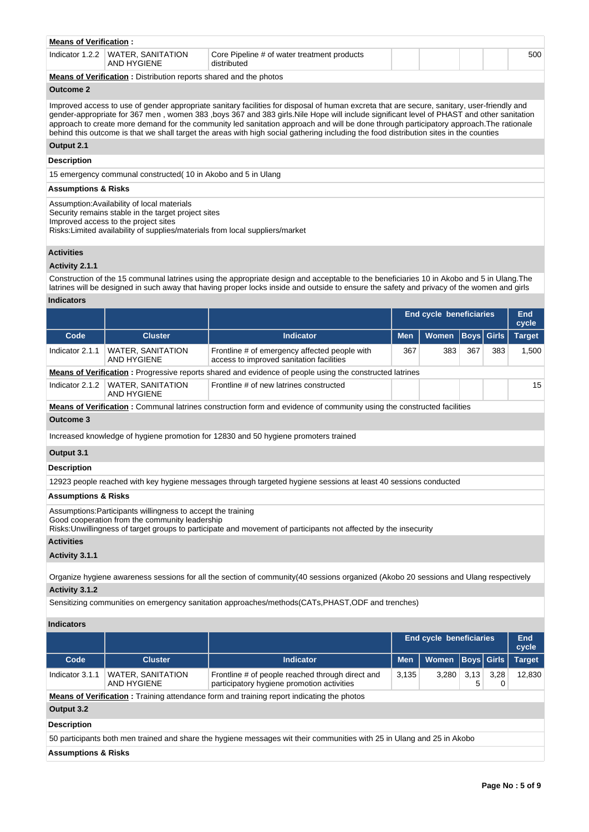| WATER, SANITATION<br>Indicator $1.2.2$<br>Core Pipeline # of water treatment products<br>AND HYGIENE<br>distributed | 500 |
|---------------------------------------------------------------------------------------------------------------------|-----|

**Means of Verification :** Distribution reports shared and the photos

# **Outcome 2**

Improved access to use of gender appropriate sanitary facilities for disposal of human excreta that are secure, sanitary, user-friendly and gender-appropriate for 367 men , women 383 ,boys 367 and 383 girls.Nile Hope will include significant level of PHAST and other sanitation approach to create more demand for the community led sanitation approach and will be done through participatory approach.The rationale behind this outcome is that we shall target the areas with high social gathering including the food distribution sites in the counties

# **Output 2.1**

# **Description**

15 emergency communal constructed( 10 in Akobo and 5 in Ulang

# **Assumptions & Risks**

Assumption:Availability of local materials

Security remains stable in the target project sites

Improved access to the project sites

Risks:Limited availability of supplies/materials from local suppliers/market

### **Activities**

### **Activity 2.1.1**

Construction of the 15 communal latrines using the appropriate design and acceptable to the beneficiaries 10 in Akobo and 5 in Ulang.The latrines will be designed in such away that having proper locks inside and outside to ensure the safety and privacy of the women and girls

# **Indicators**

|                                                                                                                                                                                                                                    |                                                |                                                                                                                              | <b>End cycle beneficiaries</b> |              |                   |     | End<br>cycle  |
|------------------------------------------------------------------------------------------------------------------------------------------------------------------------------------------------------------------------------------|------------------------------------------------|------------------------------------------------------------------------------------------------------------------------------|--------------------------------|--------------|-------------------|-----|---------------|
| Code                                                                                                                                                                                                                               | <b>Cluster</b>                                 | <b>Indicator</b>                                                                                                             | <b>Men</b>                     | <b>Women</b> | <b>Boys Girls</b> |     | <b>Target</b> |
| Indicator 2.1.1                                                                                                                                                                                                                    | <b>WATER, SANITATION</b><br><b>AND HYGIENE</b> | Frontline # of emergency affected people with<br>access to improved sanitation facilities                                    | 367                            | 383          | 367               | 383 | 1,500         |
|                                                                                                                                                                                                                                    |                                                | <b>Means of Verification</b> : Progressive reports shared and evidence of people using the constructed latrines              |                                |              |                   |     |               |
| Indicator 2.1.2                                                                                                                                                                                                                    | <b>WATER, SANITATION</b><br><b>AND HYGIENE</b> | Frontline # of new latrines constructed                                                                                      |                                |              |                   |     | 15            |
|                                                                                                                                                                                                                                    |                                                | <b>Means of Verification:</b> Communal latrines construction form and evidence of community using the constructed facilities |                                |              |                   |     |               |
| Outcome 3                                                                                                                                                                                                                          |                                                |                                                                                                                              |                                |              |                   |     |               |
|                                                                                                                                                                                                                                    |                                                | Increased knowledge of hygiene promotion for 12830 and 50 hygiene promoters trained                                          |                                |              |                   |     |               |
| Output 3.1                                                                                                                                                                                                                         |                                                |                                                                                                                              |                                |              |                   |     |               |
| <b>Description</b>                                                                                                                                                                                                                 |                                                |                                                                                                                              |                                |              |                   |     |               |
|                                                                                                                                                                                                                                    |                                                | 12923 people reached with key hygiene messages through targeted hygiene sessions at least 40 sessions conducted              |                                |              |                   |     |               |
| <b>Assumptions &amp; Risks</b>                                                                                                                                                                                                     |                                                |                                                                                                                              |                                |              |                   |     |               |
| Assumptions: Participants willingness to accept the training<br>Good cooperation from the community leadership<br>Risks: Unwillingness of target groups to participate and movement of participants not affected by the insecurity |                                                |                                                                                                                              |                                |              |                   |     |               |
| <b>Activities</b>                                                                                                                                                                                                                  |                                                |                                                                                                                              |                                |              |                   |     |               |
| Activity 3.1.1                                                                                                                                                                                                                     |                                                |                                                                                                                              |                                |              |                   |     |               |

Organize hygiene awareness sessions for all the section of community(40 sessions organized (Akobo 20 sessions and Ulang respectively **Activity 3.1.2** 

Sensitizing communities on emergency sanitation approaches/methods(CATs,PHAST,ODF and trenches)

**Indicators**

|                                                                                                                        |                                         |                                                                                                   | <b>End cycle beneficiaries</b> |              |                   | End<br>cycle |               |
|------------------------------------------------------------------------------------------------------------------------|-----------------------------------------|---------------------------------------------------------------------------------------------------|--------------------------------|--------------|-------------------|--------------|---------------|
| Code                                                                                                                   | <b>Cluster</b>                          | <b>Indicator</b>                                                                                  | <b>Men</b>                     | <b>Women</b> | <b>Boys Girls</b> |              | <b>Target</b> |
| Indicator 3.1.1                                                                                                        | <b>WATER, SANITATION</b><br>AND HYGIENE | Frontline # of people reached through direct and<br>participatory hygiene promotion activities    | 3,135                          | 3,280        | 3,13<br>5         | 3,28         | 12,830        |
|                                                                                                                        |                                         | <b>Means of Verification</b> : Training attendance form and training report indicating the photos |                                |              |                   |              |               |
| Output 3.2                                                                                                             |                                         |                                                                                                   |                                |              |                   |              |               |
| <b>Description</b>                                                                                                     |                                         |                                                                                                   |                                |              |                   |              |               |
| 50 participants both men trained and share the hygiene messages wit their communities with 25 in Ulang and 25 in Akobo |                                         |                                                                                                   |                                |              |                   |              |               |
| <b>Assumptions &amp; Risks</b>                                                                                         |                                         |                                                                                                   |                                |              |                   |              |               |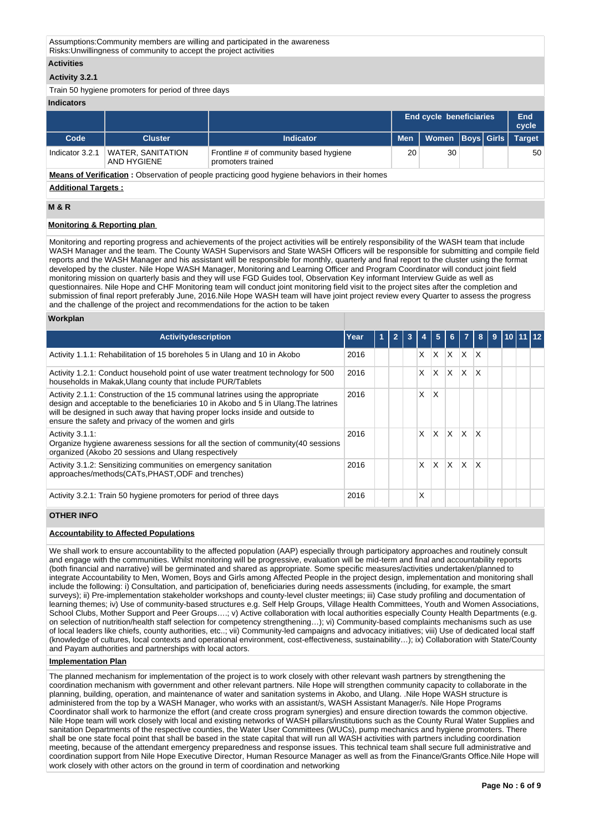Assumptions:Community members are willing and participated in the awareness Risks:Unwillingness of community to accept the project activities

### **Activities**

## **Activity 3.2.1**

Train 50 hygiene promoters for period of three days

### **Indicators**

|                 |                                         |                                                             |    | End cycle beneficiaries             |  | End<br>cycle |
|-----------------|-----------------------------------------|-------------------------------------------------------------|----|-------------------------------------|--|--------------|
| Code            | Cluster                                 | <b>Indicator</b>                                            |    | Men   Women   Boys   Girls   Target |  |              |
| Indicator 3.2.1 | <b>WATER, SANITATION</b><br>AND HYGIENE | Frontline # of community based hygiene<br>promoters trained | 20 | 30                                  |  | 50           |

**Means of Verification :** Observation of people practicing good hygiene behaviors in their homes

### **Additional Targets :**

# **M & R**

## **Monitoring & Reporting plan**

Monitoring and reporting progress and achievements of the project activities will be entirely responsibility of the WASH team that include WASH Manager and the team. The County WASH Supervisors and State WASH Officers will be responsible for submitting and compile field reports and the WASH Manager and his assistant will be responsible for monthly, quarterly and final report to the cluster using the format developed by the cluster. Nile Hope WASH Manager, Monitoring and Learning Officer and Program Coordinator will conduct joint field monitoring mission on quarterly basis and they will use FGD Guides tool, Observation Key informant Interview Guide as well as questionnaires. Nile Hope and CHF Monitoring team will conduct joint monitoring field visit to the project sites after the completion and submission of final report preferably June, 2016.Nile Hope WASH team will have joint project review every Quarter to assess the progress and the challenge of the project and recommendations for the action to be taken

## **Workplan**

| <b>Activity description</b>                                                                                                                                                                                                                                                                                   | Year | Y. | 2 | 3 |   | 5        | 6.           | 7           | 8  | 9 |  |  |
|---------------------------------------------------------------------------------------------------------------------------------------------------------------------------------------------------------------------------------------------------------------------------------------------------------------|------|----|---|---|---|----------|--------------|-------------|----|---|--|--|
| Activity 1.1.1: Rehabilitation of 15 boreholes 5 in Ulang and 10 in Akobo                                                                                                                                                                                                                                     | 2016 |    |   |   | X | X        | ΙX.          | X.          | ΙX |   |  |  |
| Activity 1.2.1: Conduct household point of use water treatment technology for 500<br>households in Makak, Ulang county that include PUR/Tablets                                                                                                                                                               | 2016 |    |   |   | x | X        | $\mathsf{X}$ | IX.         | ΙX |   |  |  |
| Activity 2.1.1: Construction of the 15 communal latrines using the appropriate<br>design and acceptable to the beneficiaries 10 in Akobo and 5 in Ulang. The latrines<br>will be designed in such away that having proper locks inside and outside to<br>ensure the safety and privacy of the women and girls | 2016 |    |   |   | x | X        |              |             |    |   |  |  |
| Activity 3.1.1:<br>Organize hygiene awareness sessions for all the section of community (40 sessions<br>organized (Akobo 20 sessions and Ulang respectively                                                                                                                                                   | 2016 |    |   |   | X | X.       |              | $X$ $X$ $X$ |    |   |  |  |
| Activity 3.1.2: Sensitizing communities on emergency sanitation<br>approaches/methods(CATs,PHAST,ODF and trenches)                                                                                                                                                                                            | 2016 |    |   |   | X | $\times$ | ΙX.          | íX.         | X  |   |  |  |
| Activity 3.2.1: Train 50 hygiene promoters for period of three days                                                                                                                                                                                                                                           | 2016 |    |   |   | Χ |          |              |             |    |   |  |  |

# **OTHER INFO**

## **Accountability to Affected Populations**

We shall work to ensure accountability to the affected population (AAP) especially through participatory approaches and routinely consult and engage with the communities. Whilst monitoring will be progressive, evaluation will be mid-term and final and accountability reports (both financial and narrative) will be germinated and shared as appropriate. Some specific measures/activities undertaken/planned to integrate Accountability to Men, Women, Boys and Girls among Affected People in the project design, implementation and monitoring shall include the following: i) Consultation, and participation of, beneficiaries during needs assessments (including, for example, the smart surveys); ii) Pre-implementation stakeholder workshops and county-level cluster meetings; iii) Case study profiling and documentation of learning themes; iv) Use of community-based structures e.g. Self Help Groups, Village Health Committees, Youth and Women Associations, School Clubs, Mother Support and Peer Groups....; v) Active collaboration with local authorities especially County Health Departments (e.g. on selection of nutrition/health staff selection for competency strengthening…); vi) Community-based complaints mechanisms such as use of local leaders like chiefs, county authorities, etc..; vii) Community-led campaigns and advocacy initiatives; viii) Use of dedicated local staff (knowledge of cultures, local contexts and operational environment, cost-effectiveness, sustainability…); ix) Collaboration with State/County and Payam authorities and partnerships with local actors.

### **Implementation Plan**

The planned mechanism for implementation of the project is to work closely with other relevant wash partners by strengthening the coordination mechanism with government and other relevant partners. Nile Hope will strengthen community capacity to collaborate in the planning, building, operation, and maintenance of water and sanitation systems in Akobo, and Ulang. .Nile Hope WASH structure is administered from the top by a WASH Manager, who works with an assistant/s, WASH Assistant Manager/s. Nile Hope Programs Coordinator shall work to harmonize the effort (and create cross program synergies) and ensure direction towards the common objective. Nile Hope team will work closely with local and existing networks of WASH pillars/institutions such as the County Rural Water Supplies and sanitation Departments of the respective counties, the Water User Committees (WUCs), pump mechanics and hygiene promoters. There shall be one state focal point that shall be based in the state capital that will run all WASH activities with partners including coordination meeting, because of the attendant emergency preparedness and response issues. This technical team shall secure full administrative and coordination support from Nile Hope Executive Director, Human Resource Manager as well as from the Finance/Grants Office.Nile Hope will work closely with other actors on the ground in term of coordination and networking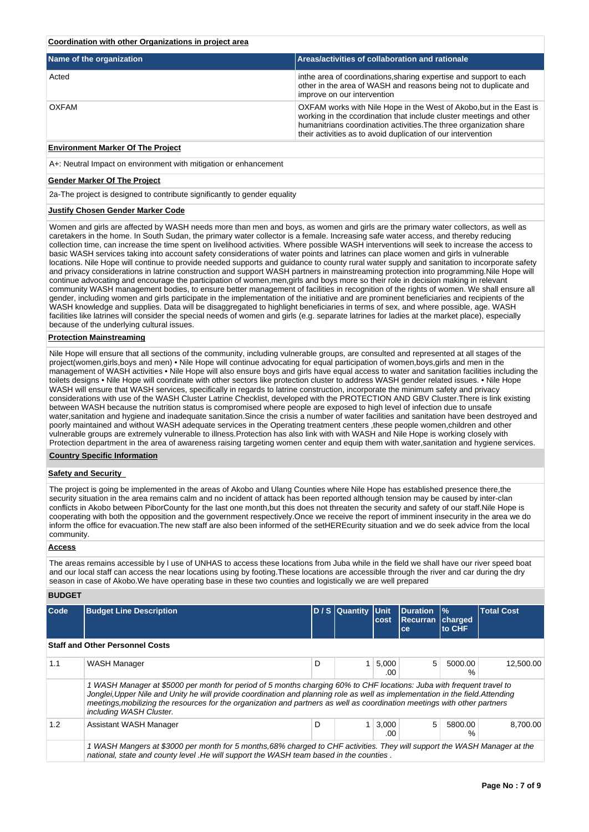### **Coordination with other Organizations in project area**

| Name of the organization | Areas/activities of collaboration and rationale                                                                                                                                                                                                                                  |
|--------------------------|----------------------------------------------------------------------------------------------------------------------------------------------------------------------------------------------------------------------------------------------------------------------------------|
| Acted                    | in the area of coordinations, sharing expertise and support to each<br>other in the area of WASH and reasons being not to duplicate and<br>improve on our intervention                                                                                                           |
| <b>OXFAM</b>             | OXFAM works with Nile Hope in the West of Akobo, but in the East is<br>working in the ccordination that include cluster meetings and other<br>humanitrians coordination activities. The three organization share<br>their activities as to avoid duplication of our intervention |

# **Environment Marker Of The Project**

A+: Neutral Impact on environment with mitigation or enhancement

#### **Gender Marker Of The Project**

2a-The project is designed to contribute significantly to gender equality

### **Justify Chosen Gender Marker Code**

Women and girls are affected by WASH needs more than men and boys, as women and girls are the primary water collectors, as well as caretakers in the home. In South Sudan, the primary water collector is a female. Increasing safe water access, and thereby reducing collection time, can increase the time spent on livelihood activities. Where possible WASH interventions will seek to increase the access to basic WASH services taking into account safety considerations of water points and latrines can place women and girls in vulnerable locations. Nile Hope will continue to provide needed supports and guidance to county rural water supply and sanitation to incorporate safety and privacy considerations in latrine construction and support WASH partners in mainstreaming protection into programming.Nile Hope will continue advocating and encourage the participation of women,men,girls and boys more so their role in decision making in relevant community WASH management bodies, to ensure better management of facilities in recognition of the rights of women. We shall ensure all gender, including women and girls participate in the implementation of the initiative and are prominent beneficiaries and recipients of the WASH knowledge and supplies. Data will be disaggregated to highlight beneficiaries in terms of sex, and where possible, age. WASH facilities like latrines will consider the special needs of women and girls (e.g. separate latrines for ladies at the market place), especially because of the underlying cultural issues.

### **Protection Mainstreaming**

Nile Hope will ensure that all sections of the community, including vulnerable groups, are consulted and represented at all stages of the project(women,girls,boys and men) • Nile Hope will continue advocating for equal participation of women,boys,girls and men in the management of WASH activities • Nile Hope will also ensure boys and girls have equal access to water and sanitation facilities including the toilets designs • Nile Hope will coordinate with other sectors like protection cluster to address WASH gender related issues. • Nile Hope WASH will ensure that WASH services, specifically in regards to latrine construction, incorporate the minimum safety and privacy considerations with use of the WASH Cluster Latrine Checklist, developed with the PROTECTION AND GBV Cluster.There is link existing between WASH because the nutrition status is compromised where people are exposed to high level of infection due to unsafe water,sanitation and hygiene and inadequate sanitation.Since the crisis a number of water facilities and sanitation have been destroyed and poorly maintained and without WASH adequate services in the Operating treatment centers ,these people women,children and other vulnerable groups are extremely vulnerable to illness.Protection has also link with with WASH and Nile Hope is working closely with Protection department in the area of awareness raising targeting women center and equip them with water,sanitation and hygiene services.

## **Country Specific Information**

### **Safety and Security**

The project is going be implemented in the areas of Akobo and Ulang Counties where Nile Hope has established presence there,the security situation in the area remains calm and no incident of attack has been reported although tension may be caused by inter-clan conflicts in Akobo between PiborCounty for the last one month,but this does not threaten the security and safety of our staff.Nile Hope is cooperating with both the opposition and the government respectively.Once we receive the report of imminent insecurity in the area we do inform the office for evacuation.The new staff are also been informed of the setHEREcurity situation and we do seek advice from the local community.

# **Access**

The areas remains accessible by l use of UNHAS to access these locations from Juba while in the field we shall have our river speed boat and our local staff can access the near locations using by footing.These locations are accessible through the river and car during the dry season in case of Akobo.We have operating base in these two counties and logistically we are well prepared

### **BUDGET**

| <b>Code</b> | <b>Budget Line Description</b>                                                                                                                                                                                                                                                                                                                                                                                  |   | D / S Quantity Unit | cost         | <b>Duration</b><br><b>Recurran charged</b><br>ce | $\frac{9}{6}$<br>to CHF | <b>Total Cost</b> |  |  |
|-------------|-----------------------------------------------------------------------------------------------------------------------------------------------------------------------------------------------------------------------------------------------------------------------------------------------------------------------------------------------------------------------------------------------------------------|---|---------------------|--------------|--------------------------------------------------|-------------------------|-------------------|--|--|
|             | <b>Staff and Other Personnel Costs</b>                                                                                                                                                                                                                                                                                                                                                                          |   |                     |              |                                                  |                         |                   |  |  |
| 1.1         | WASH Manager                                                                                                                                                                                                                                                                                                                                                                                                    | D |                     | 5.000<br>.00 | 5                                                | 5000.00<br>%            | 12.500.00         |  |  |
|             | 1 WASH Manager at \$5000 per month for period of 5 months charging 60% to CHF locations: Juba with frequent travel to<br>Jonglei, Upper Nile and Unity he will provide coordination and planning role as well as implementation in the field. Attending<br>meetings, mobilizing the resources for the organization and partners as well as coordination meetings with other partners<br>including WASH Cluster. |   |                     |              |                                                  |                         |                   |  |  |
| 1.2         | Assistant WASH Manager                                                                                                                                                                                                                                                                                                                                                                                          | D | 1                   | 3,000<br>.00 | 5                                                | 5800.00<br>$\%$         | 8.700.00          |  |  |
|             | WASH Mangers at \$3000 per month for 5 months,68% charged to CHF activities. They will support the WASH Manager at the<br>national, state and county level. He will support the WASH team based in the counties.                                                                                                                                                                                                |   |                     |              |                                                  |                         |                   |  |  |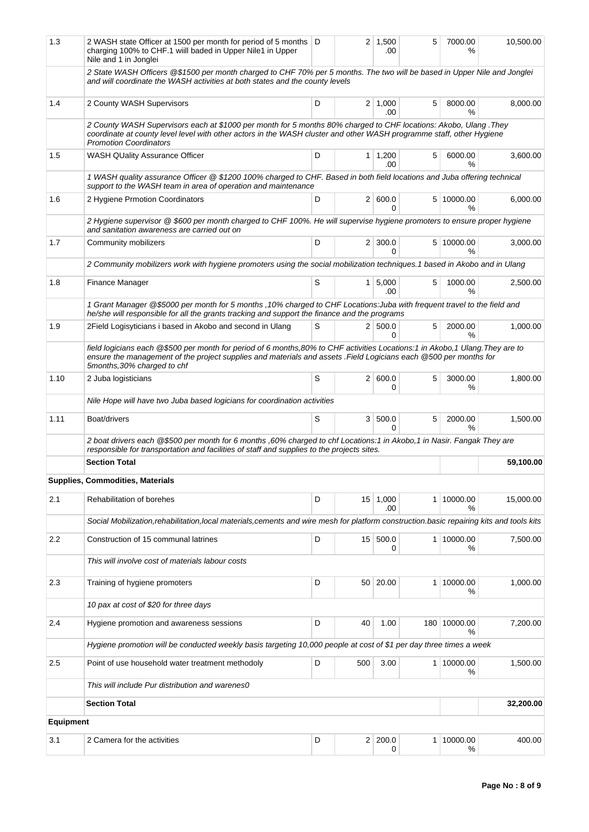| 1.3       | 2 WASH state Officer at 1500 per month for period of 5 months   D<br>charging 100% to CHF.1 will baded in Upper Nile1 in Upper<br>Nile and 1 in Jonglei                                                                                                                          |   | 2 <sup>1</sup>  | 1,500<br>.00          | 5 | 7000.00<br>%                | 10,500.00 |  |  |  |
|-----------|----------------------------------------------------------------------------------------------------------------------------------------------------------------------------------------------------------------------------------------------------------------------------------|---|-----------------|-----------------------|---|-----------------------------|-----------|--|--|--|
|           | 2 State WASH Officers @\$1500 per month charged to CHF 70% per 5 months. The two will be based in Upper Nile and Jonglei<br>and will coordinate the WASH activities at both states and the county levels                                                                         |   |                 |                       |   |                             |           |  |  |  |
| 1.4       | 2 County WASH Supervisors                                                                                                                                                                                                                                                        | D |                 | $2 \mid 1,000$<br>.00 | 5 | 8000.00<br>$\%$             | 8,000.00  |  |  |  |
|           | 2 County WASH Supervisors each at \$1000 per month for 5 months 80% charged to CHF locations: Akobo, Ulang .They<br>coordinate at county level level with other actors in the WASH cluster and other WASH programme staff, other Hygiene<br><b>Promotion Coordinators</b>        |   |                 |                       |   |                             |           |  |  |  |
| 1.5       | <b>WASH QUality Assurance Officer</b>                                                                                                                                                                                                                                            | D |                 | $1 \mid 1,200$<br>.00 | 5 | 6000.00<br>%                | 3,600.00  |  |  |  |
|           | 1 WASH quality assurance Officer @ \$1200 100% charged to CHF. Based in both field locations and Juba offering technical<br>support to the WASH team in area of operation and maintenance                                                                                        |   |                 |                       |   |                             |           |  |  |  |
| 1.6       | 2 Hygiene Prmotion Coordinators                                                                                                                                                                                                                                                  | D |                 | 2   600.0<br>0        |   | 5 10000.00<br>$\frac{9}{6}$ | 6,000.00  |  |  |  |
|           | 2 Hygiene supervisor @ \$600 per month charged to CHF 100%. He will supervise hygiene promoters to ensure proper hygiene<br>and sanitation awareness are carried out on                                                                                                          |   |                 |                       |   |                             |           |  |  |  |
| 1.7       | Community mobilizers                                                                                                                                                                                                                                                             | D |                 | $2 \mid 300.0$<br>0   |   | 5 10000.00<br>℅             | 3,000.00  |  |  |  |
|           | 2 Community mobilizers work with hygiene promoters using the social mobilization techniques.1 based in Akobo and in Ulang                                                                                                                                                        |   |                 |                       |   |                             |           |  |  |  |
| 1.8       | Finance Manager                                                                                                                                                                                                                                                                  | S |                 | $1 \mid 5,000$<br>.00 | 5 | 1000.00<br>%                | 2,500.00  |  |  |  |
|           | 1 Grant Manager @\$5000 per month for 5 months , 10% charged to CHF Locations: Juba with frequent travel to the field and<br>he/she will responsible for all the grants tracking and support the finance and the programs                                                        |   |                 |                       |   |                             |           |  |  |  |
| 1.9       | 2Field Logisyticians i based in Akobo and second in Ulang                                                                                                                                                                                                                        | S |                 | 2   500.0<br>0        | 5 | 2000.00<br>%                | 1,000.00  |  |  |  |
|           | field logicians each @\$500 per month for period of 6 months,80% to CHF activities Locations:1 in Akobo,1 Ulang. They are to<br>ensure the management of the project supplies and materials and assets . Field Logicians each @500 per months for<br>5months, 30% charged to chf |   |                 |                       |   |                             |           |  |  |  |
| 1.10      | 2 Juba logisticians                                                                                                                                                                                                                                                              | S |                 | 2   600.0<br>0        | 5 | 3000.00<br>℅                | 1,800.00  |  |  |  |
|           | Nile Hope will have two Juba based logicians for coordination activities                                                                                                                                                                                                         |   |                 |                       |   |                             |           |  |  |  |
| 1.11      | Boat/drivers                                                                                                                                                                                                                                                                     | S |                 | 3   500.0<br>0        | 5 | 2000.00<br>%                | 1,500.00  |  |  |  |
|           | 2 boat drivers each @\$500 per month for 6 months ,60% charged to chf Locations:1 in Akobo,1 in Nasir. Fangak They are<br>responsible for transportation and facilities of staff and supplies to the projects sites.                                                             |   |                 |                       |   |                             |           |  |  |  |
|           | <b>Section Total</b>                                                                                                                                                                                                                                                             |   |                 |                       |   |                             | 59,100.00 |  |  |  |
|           | Supplies, Commodities, Materials                                                                                                                                                                                                                                                 |   |                 |                       |   |                             |           |  |  |  |
| 2.1       | Rehabilitation of borehes                                                                                                                                                                                                                                                        | D | 15 <sup>1</sup> | 1,000<br>.00          |   | 1 10000.00<br>℅             | 15,000.00 |  |  |  |
|           | Social Mobilization,rehabilitation,local materials,cements and wire mesh for platform construction.basic repairing kits and tools kits                                                                                                                                           |   |                 |                       |   |                             |           |  |  |  |
| 2.2       | Construction of 15 communal latrines                                                                                                                                                                                                                                             | D | 15              | 500.0<br>0            |   | 1 10000.00<br>℅             | 7,500.00  |  |  |  |
|           | This will involve cost of materials labour costs                                                                                                                                                                                                                                 |   |                 |                       |   |                             |           |  |  |  |
| 2.3       | Training of hygiene promoters                                                                                                                                                                                                                                                    | D | 50 <sup>1</sup> | 20.00                 |   | 1 10000.00<br>℅             | 1,000.00  |  |  |  |
|           | 10 pax at cost of \$20 for three days                                                                                                                                                                                                                                            |   |                 |                       |   |                             |           |  |  |  |
| 2.4       | Hygiene promotion and awareness sessions                                                                                                                                                                                                                                         | D | 40              | 1.00                  |   | 180 10000.00<br>%           | 7,200.00  |  |  |  |
|           | Hygiene promotion will be conducted weekly basis targeting 10,000 people at cost of \$1 per day three times a week                                                                                                                                                               |   |                 |                       |   |                             |           |  |  |  |
| 2.5       | Point of use household water treatment methodoly                                                                                                                                                                                                                                 | D | 500             | 3.00                  |   | 1 10000.00<br>℅             | 1,500.00  |  |  |  |
|           | This will include Pur distribution and warenes0                                                                                                                                                                                                                                  |   |                 |                       |   |                             |           |  |  |  |
|           | <b>Section Total</b>                                                                                                                                                                                                                                                             |   |                 |                       |   |                             | 32,200.00 |  |  |  |
| Equipment |                                                                                                                                                                                                                                                                                  |   |                 |                       |   |                             |           |  |  |  |
| 3.1       | 2 Camera for the activities                                                                                                                                                                                                                                                      | D | 2 <sup>1</sup>  | 200.0<br>0            |   | 1 10000.00<br>℅             | 400.00    |  |  |  |